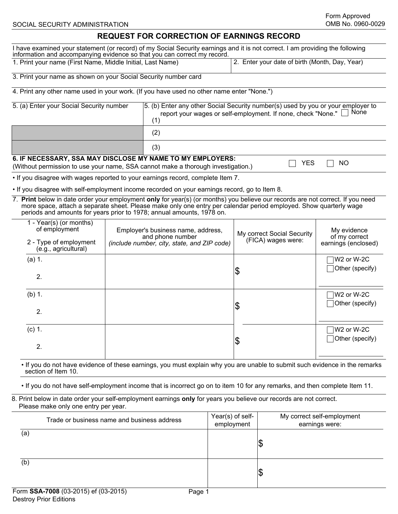## **REQUEST FOR CORRECTION OF EARNINGS RECORD**

| REQUEST FOR CORRECTION OF EARNINGS RECORD                                                                                                                                                                                                                                                                                    |                                                                                                       |                                                                                                                                                                 |                                                  |                                                |                                                     |                               |
|------------------------------------------------------------------------------------------------------------------------------------------------------------------------------------------------------------------------------------------------------------------------------------------------------------------------------|-------------------------------------------------------------------------------------------------------|-----------------------------------------------------------------------------------------------------------------------------------------------------------------|--------------------------------------------------|------------------------------------------------|-----------------------------------------------------|-------------------------------|
| I have examined your statement (or record) of my Social Security earnings and it is not correct. I am providing the following<br>information and accompanying evidence so that you can correct my record.                                                                                                                    |                                                                                                       |                                                                                                                                                                 |                                                  |                                                |                                                     |                               |
| 1. Print your name (First Name, Middle Initial, Last Name)                                                                                                                                                                                                                                                                   |                                                                                                       |                                                                                                                                                                 |                                                  | 2. Enter your date of birth (Month, Day, Year) |                                                     |                               |
| 3. Print your name as shown on your Social Security number card                                                                                                                                                                                                                                                              |                                                                                                       |                                                                                                                                                                 |                                                  |                                                |                                                     |                               |
| 4. Print any other name used in your work. (If you have used no other name enter "None.")                                                                                                                                                                                                                                    |                                                                                                       |                                                                                                                                                                 |                                                  |                                                |                                                     |                               |
| 5. (a) Enter your Social Security number                                                                                                                                                                                                                                                                                     |                                                                                                       | 5. (b) Enter any other Social Security number(s) used by you or your employer to<br>None<br>report your wages or self-employment. If none, check "None."<br>(1) |                                                  |                                                |                                                     |                               |
|                                                                                                                                                                                                                                                                                                                              |                                                                                                       | (2)                                                                                                                                                             |                                                  |                                                |                                                     |                               |
|                                                                                                                                                                                                                                                                                                                              |                                                                                                       | (3)                                                                                                                                                             |                                                  |                                                |                                                     |                               |
| 6. IF NECESSARY, SSA MAY DISCLOSE MY NAME TO MY EMPLOYERS:<br>(Without permission to use your name, SSA cannot make a thorough investigation.)                                                                                                                                                                               |                                                                                                       |                                                                                                                                                                 |                                                  |                                                | <b>YES</b>                                          | <b>NO</b>                     |
| . If you disagree with wages reported to your earnings record, complete Item 7.                                                                                                                                                                                                                                              |                                                                                                       |                                                                                                                                                                 |                                                  |                                                |                                                     |                               |
| . If you disagree with self-employment income recorded on your earnings record, go to Item 8.                                                                                                                                                                                                                                |                                                                                                       |                                                                                                                                                                 |                                                  |                                                |                                                     |                               |
| 7. Print below in date order your employment only for year(s) (or months) you believe our records are not correct. If you need<br>more space, attach a separate sheet. Please make only one entry per calendar period employed. Show quarterly wage<br>periods and amounts for years prior to 1978; annual amounts, 1978 on. |                                                                                                       |                                                                                                                                                                 |                                                  |                                                |                                                     |                               |
| 1 - Year(s) (or months)<br>of employment<br>2 - Type of employment                                                                                                                                                                                                                                                           | Employer's business name, address,<br>and phone number<br>(include number, city, state, and ZIP code) |                                                                                                                                                                 | My correct Social Security<br>(FICA) wages were: |                                                | My evidence<br>of my correct<br>earnings (enclosed) |                               |
| (e.g., agricultural)                                                                                                                                                                                                                                                                                                         |                                                                                                       |                                                                                                                                                                 |                                                  |                                                |                                                     |                               |
| (a) 1.<br>2.                                                                                                                                                                                                                                                                                                                 |                                                                                                       |                                                                                                                                                                 |                                                  | \$                                             |                                                     | W2 or W-2C<br>Other (specify) |
| $(b)$ 1.                                                                                                                                                                                                                                                                                                                     |                                                                                                       |                                                                                                                                                                 |                                                  |                                                |                                                     | W2 or W-2C                    |
| 2.                                                                                                                                                                                                                                                                                                                           |                                                                                                       |                                                                                                                                                                 |                                                  | \$                                             |                                                     | Other (specify)               |
| $(c)$ 1.                                                                                                                                                                                                                                                                                                                     |                                                                                                       |                                                                                                                                                                 |                                                  | \$                                             |                                                     | W2 or W-2C<br>Other (specify) |
| 2.                                                                                                                                                                                                                                                                                                                           |                                                                                                       |                                                                                                                                                                 |                                                  |                                                |                                                     |                               |
| . If you do not have evidence of these earnings, you must explain why you are unable to submit such evidence in the remarks<br>section of Item 10.                                                                                                                                                                           |                                                                                                       |                                                                                                                                                                 |                                                  |                                                |                                                     |                               |
| . If you do not have self-employment income that is incorrect go on to item 10 for any remarks, and then complete Item 11.                                                                                                                                                                                                   |                                                                                                       |                                                                                                                                                                 |                                                  |                                                |                                                     |                               |
| 8. Print below in date order your self-employment earnings only for years you believe our records are not correct.<br>Please make only one entry per year.                                                                                                                                                                   |                                                                                                       |                                                                                                                                                                 |                                                  |                                                |                                                     |                               |
| Trade or business name and business address                                                                                                                                                                                                                                                                                  |                                                                                                       |                                                                                                                                                                 | Year(s) of self-<br>employment                   |                                                | My correct self-employment<br>earnings were:        |                               |
| (a)                                                                                                                                                                                                                                                                                                                          |                                                                                                       |                                                                                                                                                                 |                                                  |                                                | $ \$$                                               |                               |

 $\overline{(b)}$ 

 $|\mathfrak{s}|$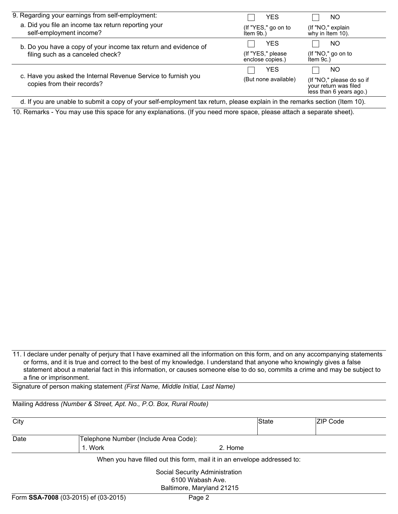| 9. Regarding your earnings from self-employment:                                            | <b>YES</b>                            | NO                                                                            |
|---------------------------------------------------------------------------------------------|---------------------------------------|-------------------------------------------------------------------------------|
| a. Did you file an income tax return reporting your<br>self-employment income?              | (If "YES," go on to<br>Item 9b.)      | (If "NO," explain<br>why in Item 10).                                         |
| b. Do you have a copy of your income tax return and evidence of                             | <b>YES</b>                            | NO                                                                            |
| filing such as a canceled check?                                                            | (If "YES," please<br>enclose copies.) | (If "NO," go on to<br>Item $9c.$ )                                            |
|                                                                                             | <b>YES</b>                            | NO                                                                            |
| c. Have you asked the Internal Revenue Service to furnish you<br>copies from their records? | (But none available)                  | (If "NO," please do so if<br>your return was filed<br>less than 6 years ago.) |
| $\cdot$ $\cdot$<br>.<br>$\overline{\phantom{a}}$<br>.<br>.                                  | .                                     | $\cdots$                                                                      |

d. If you are unable to submit a copy of your self-employment tax return, please explain in the remarks section (Item 10).

10. Remarks - You may use this space for any explanations. (If you need more space, please attach a separate sheet).

11. I declare under penalty of perjury that I have examined all the information on this form, and on any accompanying statements or forms, and it is true and correct to the best of my knowledge. I understand that anyone who knowingly gives a false statement about a material fact in this information, or causes someone else to do so, commits a crime and may be subject to a fine or imprisonment.

Signature of person making statement *(First Name, Middle Initial, Last Name)*

Mailing Address *(Number & Street, Apt. No., P.O. Box, Rural Route)*

| City |                                       | State                                                                           | <b>ZIP Code</b> |  |  |  |
|------|---------------------------------------|---------------------------------------------------------------------------------|-----------------|--|--|--|
| Date | Telephone Number (Include Area Code): |                                                                                 |                 |  |  |  |
|      | 1. Work                               | 2. Home                                                                         |                 |  |  |  |
|      |                                       | When you have filled out this form, mail it in an envelope addressed to:        |                 |  |  |  |
|      |                                       | Social Security Administration<br>6100 Wabash Ave.<br>Baltimore, Maryland 21215 |                 |  |  |  |